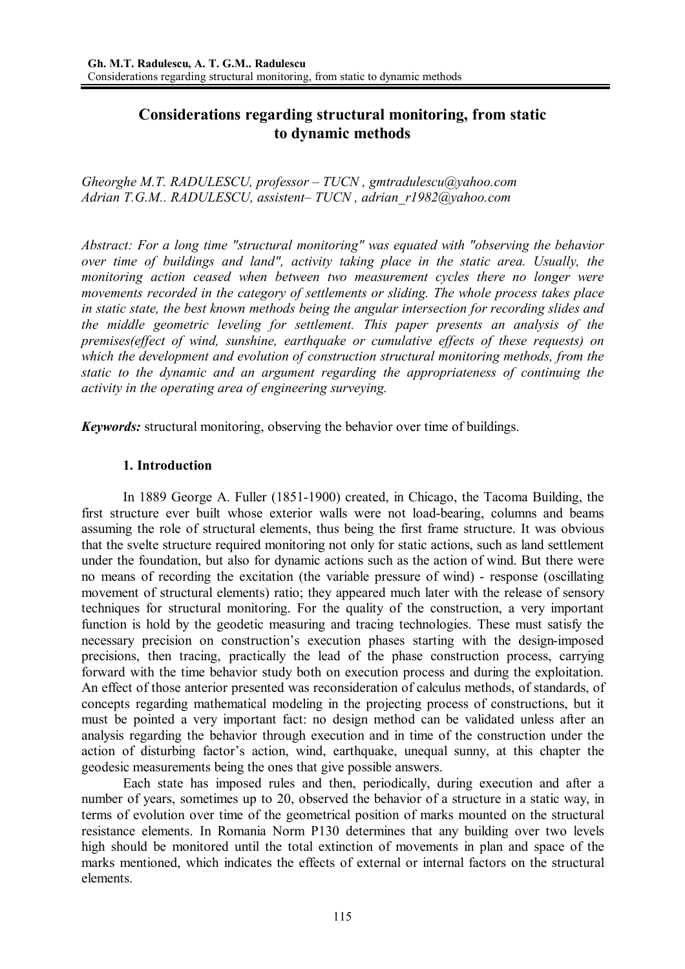# **Considerations regarding structural monitoring, from static to dynamic methods**

*Gheorghe M.T. RADULESCU, professor – TUCN , gmtradulescu@yahoo.com Adrian T.G.M.. RADULESCU, assistent– TUCN , adrian\_r1982@yahoo.com* 

*Abstract: For a long time "structural monitoring" was equated with "observing the behavior over time of buildings and land", activity taking place in the static area. Usually, the monitoring action ceased when between two measurement cycles there no longer were movements recorded in the category of settlements or sliding. The whole process takes place in static state, the best known methods being the angular intersection for recording slides and the middle geometric leveling for settlement. This paper presents an analysis of the premises(effect of wind, sunshine, earthquake or cumulative effects of these requests) on which the development and evolution of construction structural monitoring methods, from the static to the dynamic and an argument regarding the appropriateness of continuing the activity in the operating area of engineering surveying.* 

*Keywords:* structural monitoring, observing the behavior over time of buildings.

# **1. Introduction**

In 1889 George A. Fuller (1851-1900) created, in Chicago, the Tacoma Building, the first structure ever built whose exterior walls were not load-bearing, columns and beams assuming the role of structural elements, thus being the first frame structure. It was obvious that the svelte structure required monitoring not only for static actions, such as land settlement under the foundation, but also for dynamic actions such as the action of wind. But there were no means of recording the excitation (the variable pressure of wind) - response (oscillating movement of structural elements) ratio; they appeared much later with the release of sensory techniques for structural monitoring. For the quality of the construction, a very important function is hold by the geodetic measuring and tracing technologies. These must satisfy the necessary precision on construction's execution phases starting with the design-imposed precisions, then tracing, practically the lead of the phase construction process, carrying forward with the time behavior study both on execution process and during the exploitation. An effect of those anterior presented was reconsideration of calculus methods, of standards, of concepts regarding mathematical modeling in the projecting process of constructions, but it must be pointed a very important fact: no design method can be validated unless after an analysis regarding the behavior through execution and in time of the construction under the action of disturbing factor's action, wind, earthquake, unequal sunny, at this chapter the geodesic measurements being the ones that give possible answers.

 Each state has imposed rules and then, periodically, during execution and after a number of years, sometimes up to 20, observed the behavior of a structure in a static way, in terms of evolution over time of the geometrical position of marks mounted on the structural resistance elements. In Romania Norm P130 determines that any building over two levels high should be monitored until the total extinction of movements in plan and space of the marks mentioned, which indicates the effects of external or internal factors on the structural elements.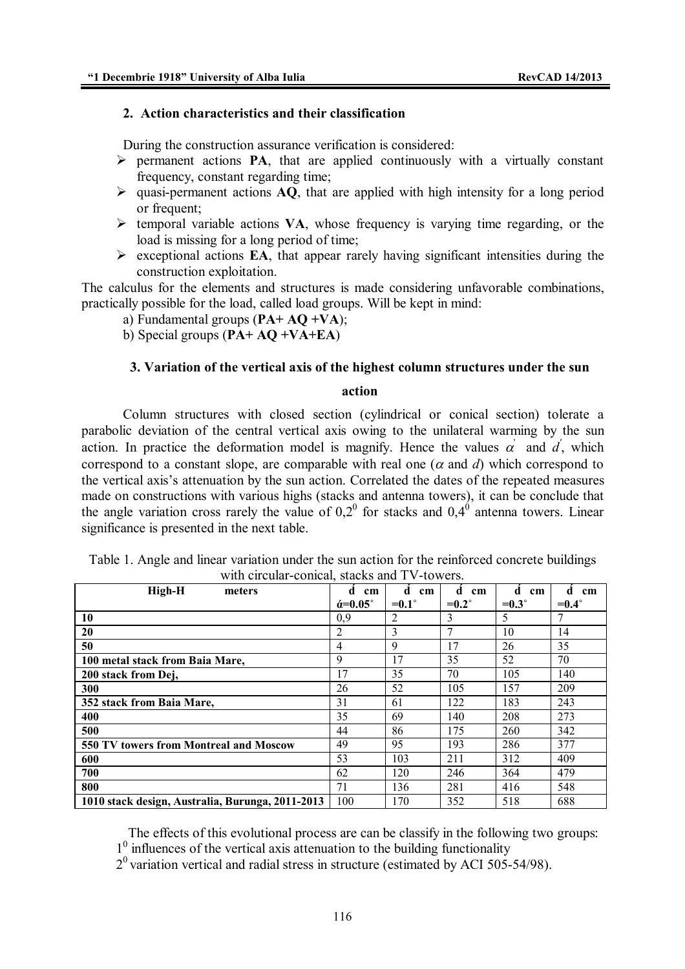#### **2. Action characteristics and their classification**

During the construction assurance verification is considered:

- permanent actions **PA**, that are applied continuously with a virtually constant frequency, constant regarding time;
- $\triangleright$  quasi-permanent actions **AQ**, that are applied with high intensity for a long period or frequent;
- $\triangleright$  temporal variable actions **VA**, whose frequency is varying time regarding, or the load is missing for a long period of time;
- $\triangleright$  exceptional actions **EA**, that appear rarely having significant intensities during the construction exploitation.

The calculus for the elements and structures is made considering unfavorable combinations, practically possible for the load, called load groups. Will be kept in mind:

a) Fundamental groups (**PA+ AQ +VA**);

b) Special groups (**PA+ AQ +VA+EA**)

#### **3. Variation of the vertical axis of the highest column structures under the sun**

#### **action**

Column structures with closed section (cylindrical or conical section) tolerate a parabolic deviation of the central vertical axis owing to the unilateral warming by the sun action. In practice the deformation model is magnify. Hence the values  $\alpha'$  and  $\alpha'$ , which correspond to a constant slope, are comparable with real one  $(\alpha$  and  $d)$  which correspond to the vertical axis's attenuation by the sun action. Correlated the dates of the repeated measures made on constructions with various highs (stacks and antenna towers), it can be conclude that the angle variation cross rarely the value of  $0.2^{\circ}$  for stacks and  $0.4^{\circ}$  antenna towers. Linear significance is presented in the next table.

| with chequal confiction, stacks and I v towers.  |                               |                    |                |                |                |
|--------------------------------------------------|-------------------------------|--------------------|----------------|----------------|----------------|
| High-H<br>meters                                 | d<br>cm                       | d<br>$\mathbf{cm}$ | d.<br>cm       | d<br>cm        | d<br>cm        |
|                                                  | $\acute{\alpha}=0.05^{\circ}$ | $=0.1^{\circ}$     | $=0.2^{\circ}$ | $=0.3^{\circ}$ | $=0.4^{\circ}$ |
| 10                                               | 0.9                           | $\overline{2}$     | 3              | 5              |                |
| 20                                               | 2                             | $\mathbf{3}$       | 7              | 10             | 14             |
| 50                                               | 4                             | 9                  | 17             | 26             | 35             |
| 100 metal stack from Baia Mare,                  | 9                             | 17                 | 35             | 52             | 70             |
| 200 stack from Dej,                              | 17                            | 35                 | 70             | 105            | 140            |
| 300                                              | 26                            | 52                 | 105            | 157            | 209            |
| 352 stack from Baia Mare,                        | 31                            | 61                 | 122            | 183            | 243            |
| 400                                              | 35                            | 69                 | 140            | 208            | 273            |
| 500                                              | 44                            | 86                 | 175            | 260            | 342            |
| 550 TV towers from Montreal and Moscow           | 49                            | 95                 | 193            | 286            | 377            |
| 600                                              | 53                            | 103                | 211            | 312            | 409            |
| 700                                              | 62                            | 120                | 246            | 364            | 479            |
| 800                                              | 71                            | 136                | 281            | 416            | 548            |
| 1010 stack design, Australia, Burunga, 2011-2013 | 100                           | 170                | 352            | 518            | 688            |

Table 1. Angle and linear variation under the sun action for the reinforced concrete buildings with circular-conical, stacks and TV-towers.

The effects of this evolutional process are can be classify in the following two groups:

1<sup>0</sup> influences of the vertical axis attenuation to the building functionality

 $2<sup>0</sup>$  variation vertical and radial stress in structure (estimated by ACI 505-54/98).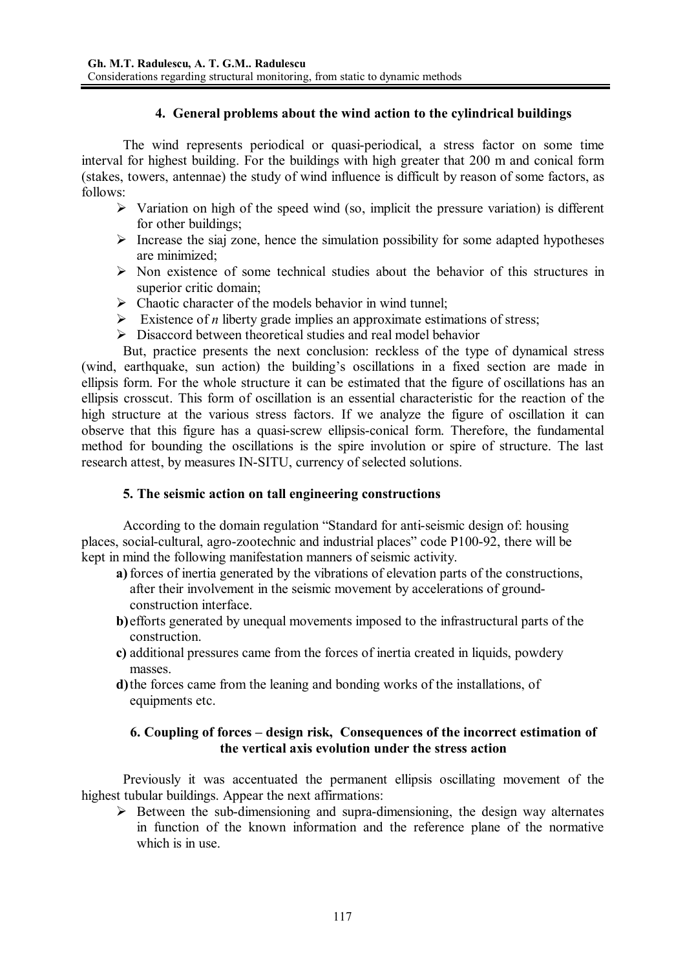### **4. General problems about the wind action to the cylindrical buildings**

 The wind represents periodical or quasi-periodical, a stress factor on some time interval for highest building. For the buildings with high greater that 200 m and conical form (stakes, towers, antennae) the study of wind influence is difficult by reason of some factors, as follows:

- $\triangleright$  Variation on high of the speed wind (so, implicit the pressure variation) is different for other buildings;
- $\triangleright$  Increase the siaj zone, hence the simulation possibility for some adapted hypotheses are minimized;
- $\triangleright$  Non existence of some technical studies about the behavior of this structures in superior critic domain;
- $\triangleright$  Chaotic character of the models behavior in wind tunnel;
- Existence of *n* liberty grade implies an approximate estimations of stress;
- $\triangleright$  Disaccord between theoretical studies and real model behavior

 But, practice presents the next conclusion: reckless of the type of dynamical stress (wind, earthquake, sun action) the building's oscillations in a fixed section are made in ellipsis form. For the whole structure it can be estimated that the figure of oscillations has an ellipsis crosscut. This form of oscillation is an essential characteristic for the reaction of the high structure at the various stress factors. If we analyze the figure of oscillation it can observe that this figure has a quasi-screw ellipsis-conical form. Therefore, the fundamental method for bounding the oscillations is the spire involution or spire of structure. The last research attest, by measures IN-SITU, currency of selected solutions.

#### **5. The seismic action on tall engineering constructions**

 According to the domain regulation "Standard for anti-seismic design of: housing places, social-cultural, agro-zootechnic and industrial places" code P100-92, there will be kept in mind the following manifestation manners of seismic activity.

- **a)** forces of inertia generated by the vibrations of elevation parts of the constructions, after their involvement in the seismic movement by accelerations of groundconstruction interface.
- **b)** efforts generated by unequal movements imposed to the infrastructural parts of the construction.
- **c)** additional pressures came from the forces of inertia created in liquids, powdery masses.
- **d)** the forces came from the leaning and bonding works of the installations, of equipments etc.

### **6. Coupling of forces – design risk, Consequences of the incorrect estimation of the vertical axis evolution under the stress action**

Previously it was accentuated the permanent ellipsis oscillating movement of the highest tubular buildings. Appear the next affirmations:

 $\triangleright$  Between the sub-dimensioning and supra-dimensioning, the design way alternates in function of the known information and the reference plane of the normative which is in use.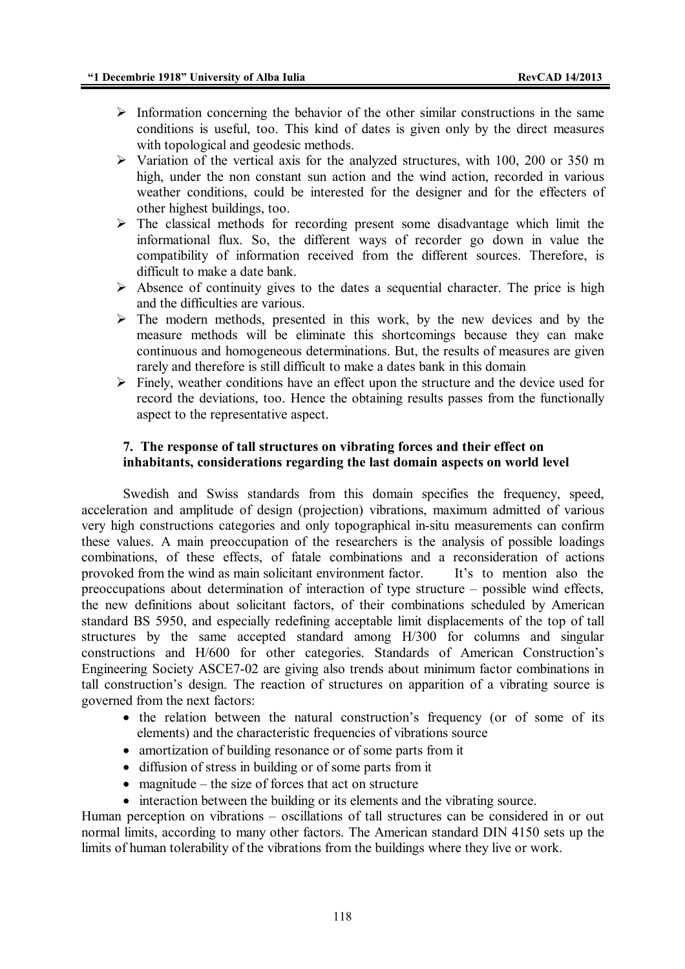- $\triangleright$  Information concerning the behavior of the other similar constructions in the same conditions is useful, too. This kind of dates is given only by the direct measures with topological and geodesic methods.
- $\triangleright$  Variation of the vertical axis for the analyzed structures, with 100, 200 or 350 m high, under the non constant sun action and the wind action, recorded in various weather conditions, could be interested for the designer and for the effecters of other highest buildings, too.
- $\triangleright$  The classical methods for recording present some disadvantage which limit the informational flux. So, the different ways of recorder go down in value the compatibility of information received from the different sources. Therefore, is difficult to make a date bank.
- $\triangleright$  Absence of continuity gives to the dates a sequential character. The price is high and the difficulties are various.
- $\triangleright$  The modern methods, presented in this work, by the new devices and by the measure methods will be eliminate this shortcomings because they can make continuous and homogeneous determinations. But, the results of measures are given rarely and therefore is still difficult to make a dates bank in this domain
- $\triangleright$  Finely, weather conditions have an effect upon the structure and the device used for record the deviations, too. Hence the obtaining results passes from the functionally aspect to the representative aspect.

### **7. The response of tall structures on vibrating forces and their effect on inhabitants, considerations regarding the last domain aspects on world level**

 Swedish and Swiss standards from this domain specifies the frequency, speed, acceleration and amplitude of design (projection) vibrations, maximum admitted of various very high constructions categories and only topographical in-situ measurements can confirm these values. A main preoccupation of the researchers is the analysis of possible loadings combinations, of these effects, of fatale combinations and a reconsideration of actions provoked from the wind as main solicitant environment factor. It's to mention also the preoccupations about determination of interaction of type structure – possible wind effects, the new definitions about solicitant factors, of their combinations scheduled by American standard BS 5950, and especially redefining acceptable limit displacements of the top of tall structures by the same accepted standard among H/300 for columns and singular constructions and H/600 for other categories. Standards of American Construction's Engineering Society ASCE7-02 are giving also trends about minimum factor combinations in tall construction's design. The reaction of structures on apparition of a vibrating source is governed from the next factors:

- the relation between the natural construction's frequency (or of some of its elements) and the characteristic frequencies of vibrations source
- amortization of building resonance or of some parts from it
- diffusion of stress in building or of some parts from it
- $\bullet$  magnitude the size of forces that act on structure
- interaction between the building or its elements and the vibrating source.

Human perception on vibrations – oscillations of tall structures can be considered in or out normal limits, according to many other factors. The American standard DIN 4150 sets up the limits of human tolerability of the vibrations from the buildings where they live or work.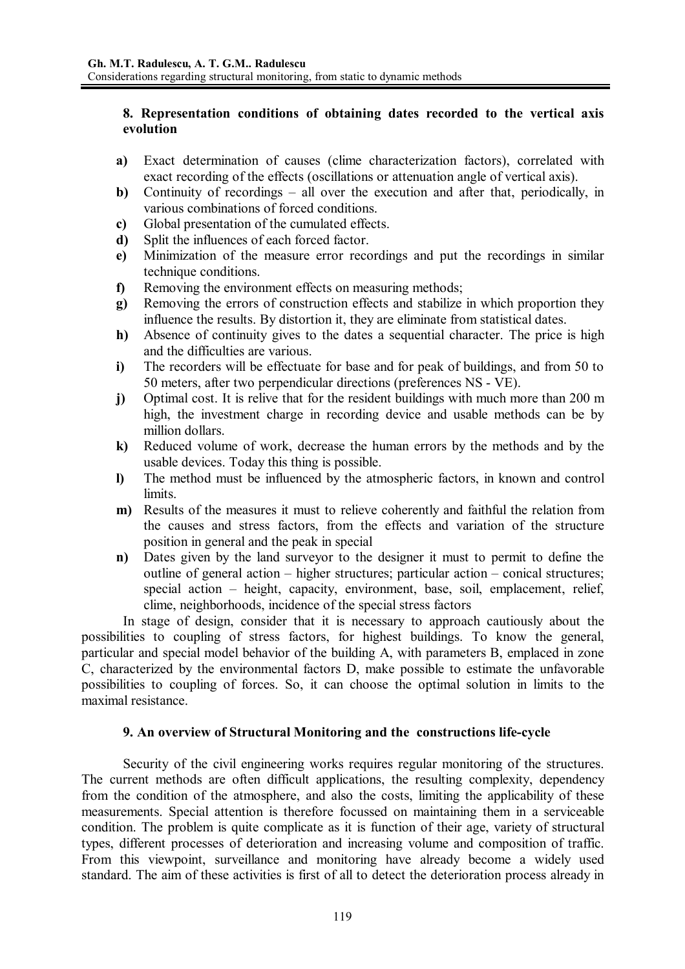#### **8. Representation conditions of obtaining dates recorded to the vertical axis evolution**

- **a)** Exact determination of causes (clime characterization factors), correlated with exact recording of the effects (oscillations or attenuation angle of vertical axis).
- **b)** Continuity of recordings all over the execution and after that, periodically, in various combinations of forced conditions.
- **c)** Global presentation of the cumulated effects.
- **d)** Split the influences of each forced factor.
- **e)** Minimization of the measure error recordings and put the recordings in similar technique conditions.
- **f)** Removing the environment effects on measuring methods;
- **g)** Removing the errors of construction effects and stabilize in which proportion they influence the results. By distortion it, they are eliminate from statistical dates.
- **h)** Absence of continuity gives to the dates a sequential character. The price is high and the difficulties are various.
- **i)** The recorders will be effectuate for base and for peak of buildings, and from 50 to 50 meters, after two perpendicular directions (preferences NS - VE).
- **j)** Optimal cost. It is relive that for the resident buildings with much more than 200 m high, the investment charge in recording device and usable methods can be by million dollars.
- **k)** Reduced volume of work, decrease the human errors by the methods and by the usable devices. Today this thing is possible.
- **l)** The method must be influenced by the atmospheric factors, in known and control limits.
- **m)** Results of the measures it must to relieve coherently and faithful the relation from the causes and stress factors, from the effects and variation of the structure position in general and the peak in special
- **n)** Dates given by the land surveyor to the designer it must to permit to define the outline of general action – higher structures; particular action – conical structures; special action – height, capacity, environment, base, soil, emplacement, relief, clime, neighborhoods, incidence of the special stress factors

 In stage of design, consider that it is necessary to approach cautiously about the possibilities to coupling of stress factors, for highest buildings. To know the general, particular and special model behavior of the building A, with parameters B, emplaced in zone C, characterized by the environmental factors D, make possible to estimate the unfavorable possibilities to coupling of forces. So, it can choose the optimal solution in limits to the maximal resistance.

#### **9. An overview of Structural Monitoring and the constructions life-cycle**

 Security of the civil engineering works requires regular monitoring of the structures. The current methods are often difficult applications, the resulting complexity, dependency from the condition of the atmosphere, and also the costs, limiting the applicability of these measurements. Special attention is therefore focussed on maintaining them in a serviceable condition. The problem is quite complicate as it is function of their age, variety of structural types, different processes of deterioration and increasing volume and composition of traffic. From this viewpoint, surveillance and monitoring have already become a widely used standard. The aim of these activities is first of all to detect the deterioration process already in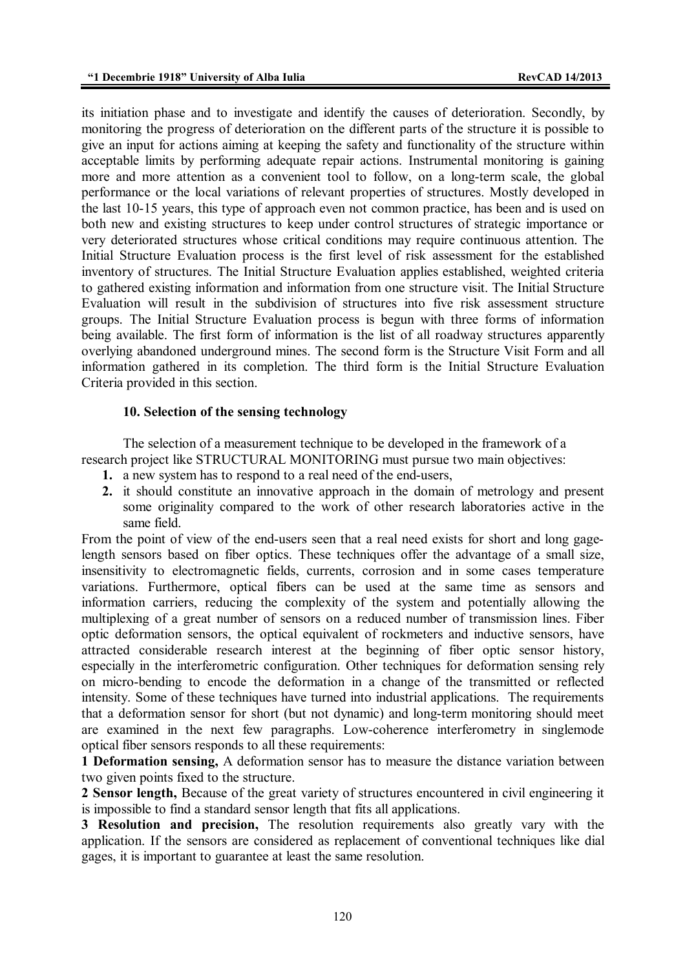its initiation phase and to investigate and identify the causes of deterioration. Secondly, by monitoring the progress of deterioration on the different parts of the structure it is possible to give an input for actions aiming at keeping the safety and functionality of the structure within acceptable limits by performing adequate repair actions. Instrumental monitoring is gaining more and more attention as a convenient tool to follow, on a long-term scale, the global performance or the local variations of relevant properties of structures. Mostly developed in the last 10-15 years, this type of approach even not common practice, has been and is used on both new and existing structures to keep under control structures of strategic importance or very deteriorated structures whose critical conditions may require continuous attention. The Initial Structure Evaluation process is the first level of risk assessment for the established inventory of structures. The Initial Structure Evaluation applies established, weighted criteria to gathered existing information and information from one structure visit. The Initial Structure Evaluation will result in the subdivision of structures into five risk assessment structure groups. The Initial Structure Evaluation process is begun with three forms of information being available. The first form of information is the list of all roadway structures apparently overlying abandoned underground mines. The second form is the Structure Visit Form and all information gathered in its completion. The third form is the Initial Structure Evaluation Criteria provided in this section.

#### **10. Selection of the sensing technology**

 The selection of a measurement technique to be developed in the framework of a research project like STRUCTURAL MONITORING must pursue two main objectives:

- **1.** a new system has to respond to a real need of the end-users,
- **2.** it should constitute an innovative approach in the domain of metrology and present some originality compared to the work of other research laboratories active in the same field.

From the point of view of the end-users seen that a real need exists for short and long gagelength sensors based on fiber optics. These techniques offer the advantage of a small size, insensitivity to electromagnetic fields, currents, corrosion and in some cases temperature variations. Furthermore, optical fibers can be used at the same time as sensors and information carriers, reducing the complexity of the system and potentially allowing the multiplexing of a great number of sensors on a reduced number of transmission lines. Fiber optic deformation sensors, the optical equivalent of rockmeters and inductive sensors, have attracted considerable research interest at the beginning of fiber optic sensor history, especially in the interferometric configuration. Other techniques for deformation sensing rely on micro-bending to encode the deformation in a change of the transmitted or reflected intensity. Some of these techniques have turned into industrial applications. The requirements that a deformation sensor for short (but not dynamic) and long-term monitoring should meet are examined in the next few paragraphs. Low-coherence interferometry in singlemode optical fiber sensors responds to all these requirements:

**1 Deformation sensing,** A deformation sensor has to measure the distance variation between two given points fixed to the structure.

**2 Sensor length,** Because of the great variety of structures encountered in civil engineering it is impossible to find a standard sensor length that fits all applications.

**3 Resolution and precision,** The resolution requirements also greatly vary with the application. If the sensors are considered as replacement of conventional techniques like dial gages, it is important to guarantee at least the same resolution.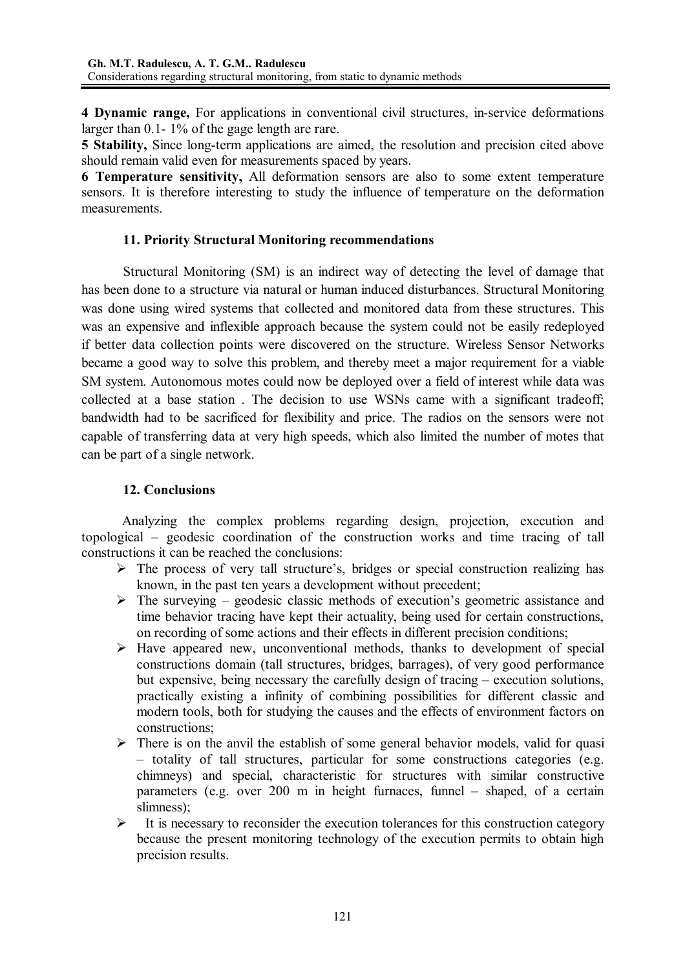**4 Dynamic range,** For applications in conventional civil structures, in-service deformations larger than 0.1- 1% of the gage length are rare.

**5 Stability,** Since long-term applications are aimed, the resolution and precision cited above should remain valid even for measurements spaced by years.

**6 Temperature sensitivity,** All deformation sensors are also to some extent temperature sensors. It is therefore interesting to study the influence of temperature on the deformation measurements.

### **11. Priority Structural Monitoring recommendations**

 Structural Monitoring (SM) is an indirect way of detecting the level of damage that has been done to a structure via natural or human induced disturbances. Structural Monitoring was done using wired systems that collected and monitored data from these structures. This was an expensive and inflexible approach because the system could not be easily redeployed if better data collection points were discovered on the structure. Wireless Sensor Networks became a good way to solve this problem, and thereby meet a major requirement for a viable SM system. Autonomous motes could now be deployed over a field of interest while data was collected at a base station . The decision to use WSNs came with a significant tradeoff; bandwidth had to be sacrificed for flexibility and price. The radios on the sensors were not capable of transferring data at very high speeds, which also limited the number of motes that can be part of a single network.

# **12. Conclusions**

Analyzing the complex problems regarding design, projection, execution and topological – geodesic coordination of the construction works and time tracing of tall constructions it can be reached the conclusions:

- $\triangleright$  The process of very tall structure's, bridges or special construction realizing has known, in the past ten years a development without precedent;
- $\triangleright$  The surveying geodesic classic methods of execution's geometric assistance and time behavior tracing have kept their actuality, being used for certain constructions, on recording of some actions and their effects in different precision conditions;
- $\triangleright$  Have appeared new, unconventional methods, thanks to development of special constructions domain (tall structures, bridges, barrages), of very good performance but expensive, being necessary the carefully design of tracing – execution solutions, practically existing a infinity of combining possibilities for different classic and modern tools, both for studying the causes and the effects of environment factors on constructions;
- $\triangleright$  There is on the anvil the establish of some general behavior models, valid for quasi – totality of tall structures, particular for some constructions categories (e.g. chimneys) and special, characteristic for structures with similar constructive parameters (e.g. over 200 m in height furnaces, funnel – shaped, of a certain slimness);
- $\triangleright$  It is necessary to reconsider the execution tolerances for this construction category because the present monitoring technology of the execution permits to obtain high precision results.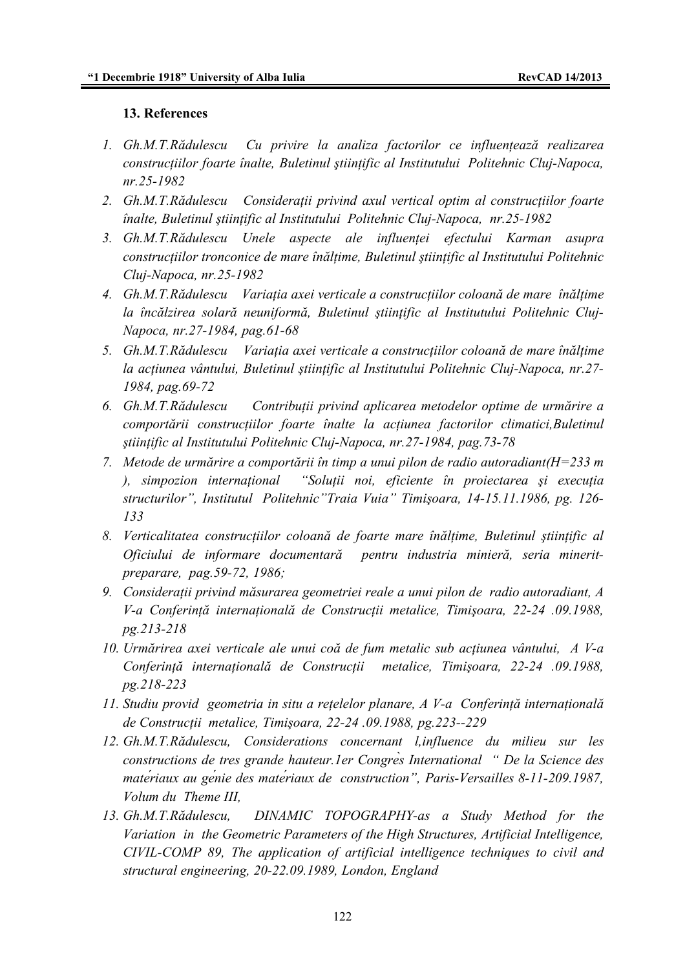#### **13. References**

- *1. Gh.M.T.Rădulescu Cu privire la analiza factorilor ce influenţează realizarea construcţiilor foarte înalte, Buletinul ştiinţific al Institutului Politehnic Cluj-Napoca, nr.25-1982*
- *2. Gh.M.T.Rădulescu Consideraţii privind axul vertical optim al construcţiilor foarte înalte, Buletinul ştiinţific al Institutului Politehnic Cluj-Napoca, nr.25-1982*
- *3. Gh.M.T.Rădulescu Unele aspecte ale influenţei efectului Karman asupra construcţiilor tronconice de mare înălţime, Buletinul ştiinţific al Institutului Politehnic Cluj-Napoca, nr.25-1982*
- *4. Gh.M.T.Rădulescu Variaţia axei verticale a construcţiilor coloană de mare înălţime la încălzirea solară neuniformă, Buletinul ştiinţific al Institutului Politehnic Cluj-Napoca, nr.27-1984, pag.61-68*
- *5. Gh.M.T.Rădulescu Variaţia axei verticale a construcţiilor coloană de mare înălţime la acţiunea vântului, Buletinul ştiinţific al Institutului Politehnic Cluj-Napoca, nr.27- 1984, pag.69-72*
- *6. Gh.M.T.Rădulescu Contribuţii privind aplicarea metodelor optime de urmărire a comportării construcţiilor foarte înalte la acţiunea factorilor climatici,Buletinul ştiinţific al Institutului Politehnic Cluj-Napoca, nr.27-1984, pag.73-78*
- *7. Metode de urmărire a comportării în timp a unui pilon de radio autoradiant(H=233 m ), simpozion internaţional "Soluţii noi, eficiente în proiectarea şi execuţia structurilor", Institutul Politehnic"Traia Vuia" Timişoara, 14-15.11.1986, pg. 126- 133*
- *8. Verticalitatea construcţiilor coloană de foarte mare înălţime, Buletinul ştiinţific al Oficiului de informare documentară pentru industria minieră, seria mineritpreparare, pag.59-72, 1986;*
- *9. Consideraţii privind măsurarea geometriei reale a unui pilon de radio autoradiant, A V-a Conferinţă internaţională de Construcţii metalice, Timişoara, 22-24 .09.1988, pg.213-218*
- *10. Urmărirea axei verticale ale unui coă de fum metalic sub acţiunea vântului, A V-a Conferinţă internaţională de Construcţii metalice, Timişoara, 22-24 .09.1988, pg.218-223*
- *11. Studiu provid geometria in situ a reţelelor planare, A V-a Conferinţă internaţională de Construcţii metalice, Timişoara, 22-24 .09.1988, pg.223--229*
- *12. Gh.M.T.Rădulescu, Considerations concernant l,influence du milieu sur les constructions de tres grande hauteur.1er Congrès International " De la Science des matériaux au génie des matériaux de construction", Paris-Versailles 8-11-209.1987, Volum du Theme III,*
- *13. Gh.M.T.Rădulescu, DINAMIC TOPOGRAPHY-as a Study Method for the Variation in the Geometric Parameters of the High Structures, Artificial Intelligence, CIVIL-COMP 89, The application of artificial intelligence techniques to civil and structural engineering, 20-22.09.1989, London, England*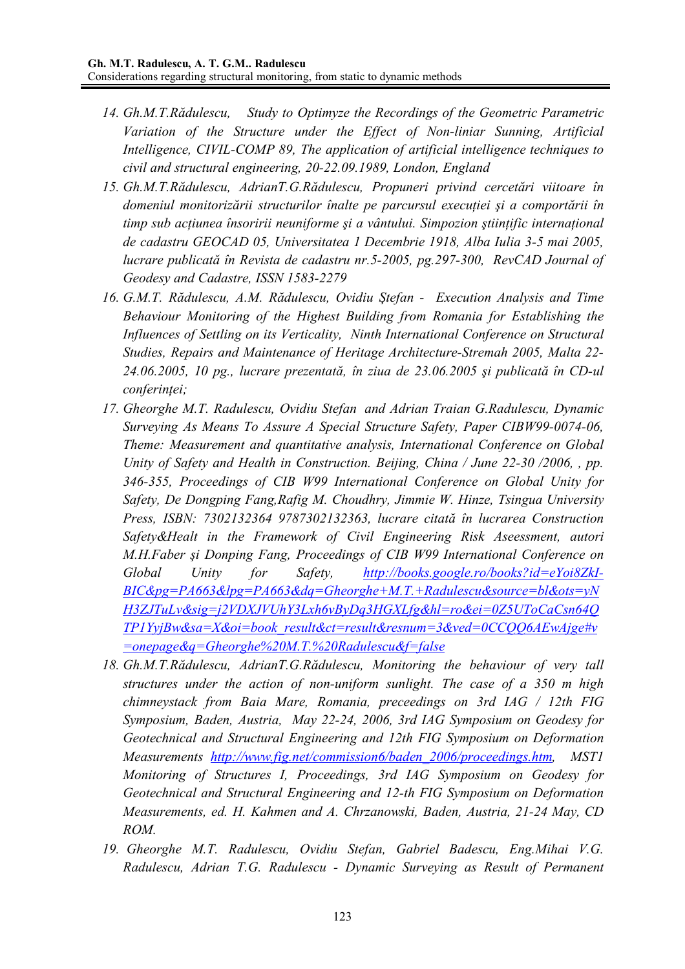- *14. Gh.M.T.Rădulescu, Study to Optimyze the Recordings of the Geometric Parametric Variation of the Structure under the Effect of Non-liniar Sunning, Artificial Intelligence, CIVIL-COMP 89, The application of artificial intelligence techniques to civil and structural engineering, 20-22.09.1989, London, England*
- *15. Gh.M.T.Rădulescu, AdrianT.G.Rădulescu, Propuneri privind cercetări viitoare în domeniul monitorizării structurilor înalte pe parcursul execuţiei şi a comportării în timp sub acţiunea însoririi neuniforme şi a vântului. Simpozion ştiinţific internaţional de cadastru GEOCAD 05, Universitatea 1 Decembrie 1918, Alba Iulia 3-5 mai 2005, lucrare publicată în Revista de cadastru nr.5-2005, pg.297-300, RevCAD Journal of Geodesy and Cadastre, ISSN 1583-2279*
- *16. G.M.T. Rădulescu, A.M. Rădulescu, Ovidiu Ştefan Execution Analysis and Time Behaviour Monitoring of the Highest Building from Romania for Establishing the Influences of Settling on its Verticality, Ninth International Conference on Structural Studies, Repairs and Maintenance of Heritage Architecture-Stremah 2005, Malta 22- 24.06.2005, 10 pg., lucrare prezentată, în ziua de 23.06.2005 şi publicată în CD-ul conferinţei;*
- *17. Gheorghe M.T. Radulescu, Ovidiu Stefan and Adrian Traian G.Radulescu, Dynamic Surveying As Means To Assure A Special Structure Safety, Paper CIBW99-0074-06, Theme: Measurement and quantitative analysis, International Conference on Global Unity of Safety and Health in Construction. Beijing, China / June 22-30 /2006, , pp. 346-355, Proceedings of CIB W99 International Conference on Global Unity for Safety, De Dongping Fang,Rafig M. Choudhry, Jimmie W. Hinze, Tsingua University Press, ISBN: 7302132364 9787302132363, lucrare citată în lucrarea Construction Safety&Healt in the Framework of Civil Engineering Risk Aseessment, autori M.H.Faber şi Donping Fang, Proceedings of CIB W99 International Conference on Global Unity for Safety, http://books.google.ro/books?id=eYoi8ZkI-BIC&pg=PA663&lpg=PA663&dq=Gheorghe+M.T.+Radulescu&source=bl&ots=yN H3ZJTuLv&sig=j2VDXJVUhY3Lxh6vByDq3HGXLfg&hl=ro&ei=0Z5UToCaCsn64Q TP1YyjBw&sa=X&oi=book\_result&ct=result&resnum=3&ved=0CCQQ6AEwAjge#v =onepage&q=Gheorghe%20M.T.%20Radulescu&f=false*
- *18. Gh.M.T.Rădulescu, AdrianT.G.Rădulescu, Monitoring the behaviour of very tall structures under the action of non-uniform sunlight. The case of a 350 m high chimneystack from Baia Mare, Romania, preceedings on 3rd IAG / 12th FIG Symposium, Baden, Austria, May 22-24, 2006, 3rd IAG Symposium on Geodesy for Geotechnical and Structural Engineering and 12th FIG Symposium on Deformation Measurements http://www.fig.net/commission6/baden\_2006/proceedings.htm, MST1 Monitoring of Structures I, Proceedings, 3rd IAG Symposium on Geodesy for Geotechnical and Structural Engineering and 12-th FIG Symposium on Deformation Measurements, ed. H. Kahmen and A. Chrzanowski, Baden, Austria, 21-24 May, CD ROM.*
- *19. Gheorghe M.T. Radulescu, Ovidiu Stefan, Gabriel Badescu, Eng.Mihai V.G. Radulescu, Adrian T.G. Radulescu - Dynamic Surveying as Result of Permanent*